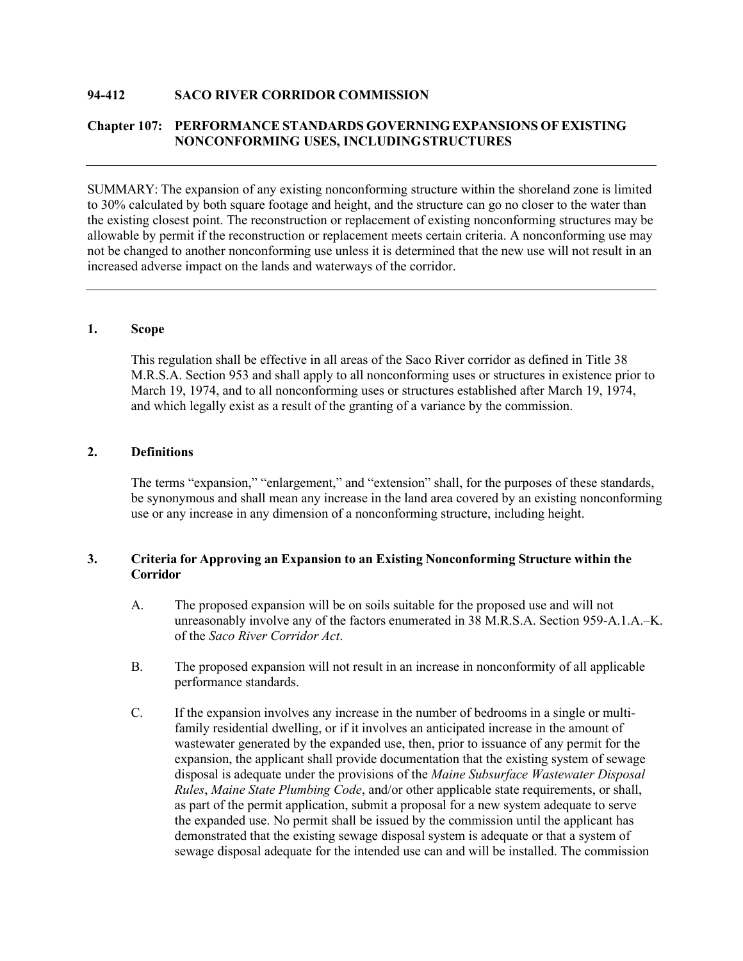## **94-412 SACO RIVER CORRIDOR COMMISSION**

# **Chapter 107: PERFORMANCE STANDARDS GOVERNING EXPANSIONS OFEXISTING NONCONFORMING USES, INCLUDINGSTRUCTURES**

SUMMARY: The expansion of any existing nonconforming structure within the shoreland zone is limited to 30% calculated by both square footage and height, and the structure can go no closer to the water than the existing closest point. The reconstruction or replacement of existing nonconforming structures may be allowable by permit if the reconstruction or replacement meets certain criteria. A nonconforming use may not be changed to another nonconforming use unless it is determined that the new use will not result in an increased adverse impact on the lands and waterways of the corridor.

# **1. Scope**

This regulation shall be effective in all areas of the Saco River corridor as defined in Title 38 M.R.S.A. Section 953 and shall apply to all nonconforming uses or structures in existence prior to March 19, 1974, and to all nonconforming uses or structures established after March 19, 1974, and which legally exist as a result of the granting of a variance by the commission.

# **2. Definitions**

The terms "expansion," "enlargement," and "extension" shall, for the purposes of these standards, be synonymous and shall mean any increase in the land area covered by an existing nonconforming use or any increase in any dimension of a nonconforming structure, including height.

# **3. Criteria for Approving an Expansion to an Existing Nonconforming Structure within the Corridor**

- A. The proposed expansion will be on soils suitable for the proposed use and will not unreasonably involve any of the factors enumerated in 38 M.R.S.A. Section 959-A.1.A.–K. of the *Saco River Corridor Act*.
- B. The proposed expansion will not result in an increase in nonconformity of all applicable performance standards.
- C. If the expansion involves any increase in the number of bedrooms in a single or multifamily residential dwelling, or if it involves an anticipated increase in the amount of wastewater generated by the expanded use, then, prior to issuance of any permit for the expansion, the applicant shall provide documentation that the existing system of sewage disposal is adequate under the provisions of the *Maine Subsurface Wastewater Disposal Rules*, *Maine State Plumbing Code*, and/or other applicable state requirements, or shall, as part of the permit application, submit a proposal for a new system adequate to serve the expanded use. No permit shall be issued by the commission until the applicant has demonstrated that the existing sewage disposal system is adequate or that a system of sewage disposal adequate for the intended use can and will be installed. The commission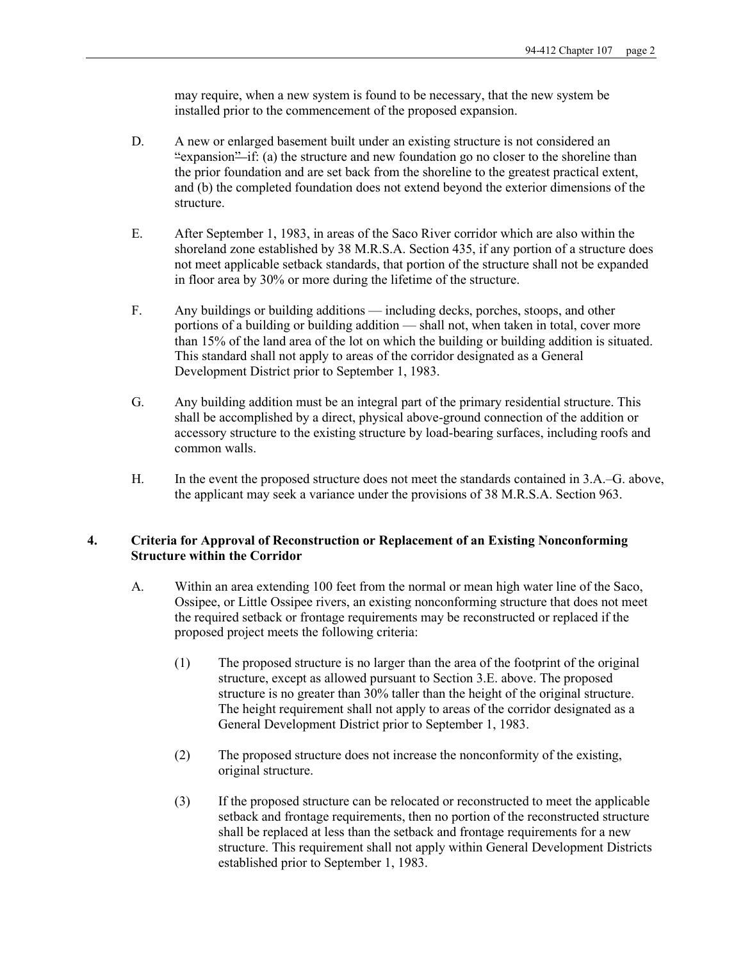may require, when a new system is found to be necessary, that the new system be installed prior to the commencement of the proposed expansion.

- D. A new or enlarged basement built under an existing structure is not considered an "expansion" if: (a) the structure and new foundation go no closer to the shoreline than the prior foundation and are set back from the shoreline to the greatest practical extent, and (b) the completed foundation does not extend beyond the exterior dimensions of the structure.
- E. After September 1, 1983, in areas of the Saco River corridor which are also within the shoreland zone established by 38 M.R.S.A. Section 435, if any portion of a structure does not meet applicable setback standards, that portion of the structure shall not be expanded in floor area by 30% or more during the lifetime of the structure.
- F. Any buildings or building additions including decks, porches, stoops, and other portions of a building or building addition — shall not, when taken in total, cover more than 15% of the land area of the lot on which the building or building addition is situated. This standard shall not apply to areas of the corridor designated as a General Development District prior to September 1, 1983.
- G. Any building addition must be an integral part of the primary residential structure. This shall be accomplished by a direct, physical above-ground connection of the addition or accessory structure to the existing structure by load-bearing surfaces, including roofs and common walls.
- H. In the event the proposed structure does not meet the standards contained in 3.A.–G. above, the applicant may seek a variance under the provisions of 38 M.R.S.A. Section 963.

# **4. Criteria for Approval of Reconstruction or Replacement of an Existing Nonconforming Structure within the Corridor**

- A. Within an area extending 100 feet from the normal or mean high water line of the Saco, Ossipee, or Little Ossipee rivers, an existing nonconforming structure that does not meet the required setback or frontage requirements may be reconstructed or replaced if the proposed project meets the following criteria:
	- (1) The proposed structure is no larger than the area of the footprint of the original structure, except as allowed pursuant to Section 3.E. above. The proposed structure is no greater than 30% taller than the height of the original structure. The height requirement shall not apply to areas of the corridor designated as a General Development District prior to September 1, 1983.
	- (2) The proposed structure does not increase the nonconformity of the existing, original structure.
	- (3) If the proposed structure can be relocated or reconstructed to meet the applicable setback and frontage requirements, then no portion of the reconstructed structure shall be replaced at less than the setback and frontage requirements for a new structure. This requirement shall not apply within General Development Districts established prior to September 1, 1983.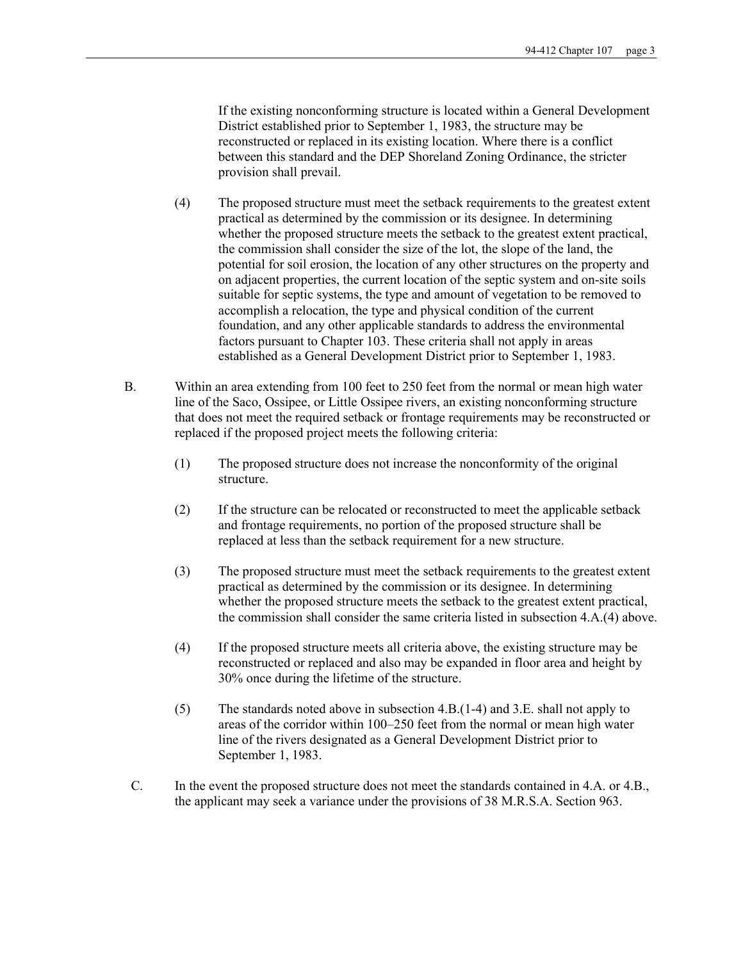If the existing nonconforming structure is located within a General Development District established prior to September 1, 1983, the structure may be reconstructed or replaced in its existing location. Where there is a conflict between this standard and the DEP Shoreland Zoning Ordinance, the stricter provision shall prevail.

- (4) The proposed structure must meet the setback requirements to the greatest extent practical as determined by the commission or its designee. In determining whether the proposed structure meets the setback to the greatest extent practical, the commission shall consider the size of the lot, the slope of the land, the potential for soil erosion, the location of any other structures on the property and on adjacent properties, the current location of the septic system and on-site soils suitable for septic systems, the type and amount of vegetation to be removed to accomplish a relocation, the type and physical condition of the current foundation, and any other applicable standards to address the environmental factors pursuant to Chapter 103. These criteria shall not apply in areas established as a General Development District prior to September 1, 1983.
- B. Within an area extending from 100 feet to 250 feet from the normal or mean high water line of the Saco, Ossipee, or Little Ossipee rivers, an existing nonconforming structure that does not meet the required setback or frontage requirements may be reconstructed or replaced if the proposed project meets the following criteria:
	- (1) The proposed structure does not increase the nonconformity of the original structure.
	- (2) If the structure can be relocated or reconstructed to meet the applicable setback and frontage requirements, no portion of the proposed structure shall be replaced at less than the setback requirement for a new structure.
	- (3) The proposed structure must meet the setback requirements to the greatest extent practical as determined by the commission or its designee. In determining whether the proposed structure meets the setback to the greatest extent practical, the commission shall consider the same criteria listed in subsection 4.A.(4) above.
	- (4) If the proposed structure meets all criteria above, the existing structure may be reconstructed or replaced and also may be expanded in floor area and height by 30% once during the lifetime of the structure.
	- (5) The standards noted above in subsection 4.B.(1-4) and 3.E. shall not apply to areas of the corridor within 100–250 feet from the normal or mean high water line of the rivers designated as a General Development District prior to September 1, 1983.
- C. In the event the proposed structure does not meet the standards contained in 4.A. or 4.B., the applicant may seek a variance under the provisions of 38 M.R.S.A. Section 963.